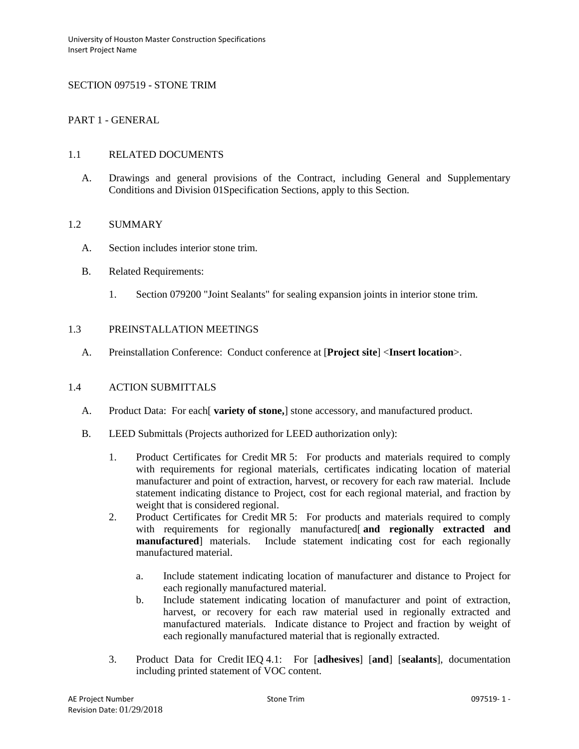# SECTION 097519 - STONE TRIM

# PART 1 - GENERAL

### 1.1 RELATED DOCUMENTS

A. Drawings and general provisions of the Contract, including General and Supplementary Conditions and Division 01Specification Sections, apply to this Section.

# 1.2 SUMMARY

- A. Section includes interior stone trim.
- B. Related Requirements:
	- 1. Section 079200 "Joint Sealants" for sealing expansion joints in interior stone trim.

# 1.3 PREINSTALLATION MEETINGS

A. Preinstallation Conference: Conduct conference at [**Project site**] <**Insert location**>.

# 1.4 ACTION SUBMITTALS

- A. Product Data: For each[ **variety of stone,**] stone accessory, and manufactured product.
- B. LEED Submittals (Projects authorized for LEED authorization only):
	- 1. Product Certificates for Credit MR 5: For products and materials required to comply with requirements for regional materials, certificates indicating location of material manufacturer and point of extraction, harvest, or recovery for each raw material. Include statement indicating distance to Project, cost for each regional material, and fraction by weight that is considered regional.
	- 2. Product Certificates for Credit MR 5: For products and materials required to comply with requirements for regionally manufactured<sup>[</sup> and regionally extracted and **manufactured**] materials. Include statement indicating cost for each regionally manufactured material.
		- a. Include statement indicating location of manufacturer and distance to Project for each regionally manufactured material.
		- b. Include statement indicating location of manufacturer and point of extraction, harvest, or recovery for each raw material used in regionally extracted and manufactured materials. Indicate distance to Project and fraction by weight of each regionally manufactured material that is regionally extracted.
	- 3. Product Data for Credit IEQ 4.1: For [**adhesives**] [**and**] [**sealants**], documentation including printed statement of VOC content.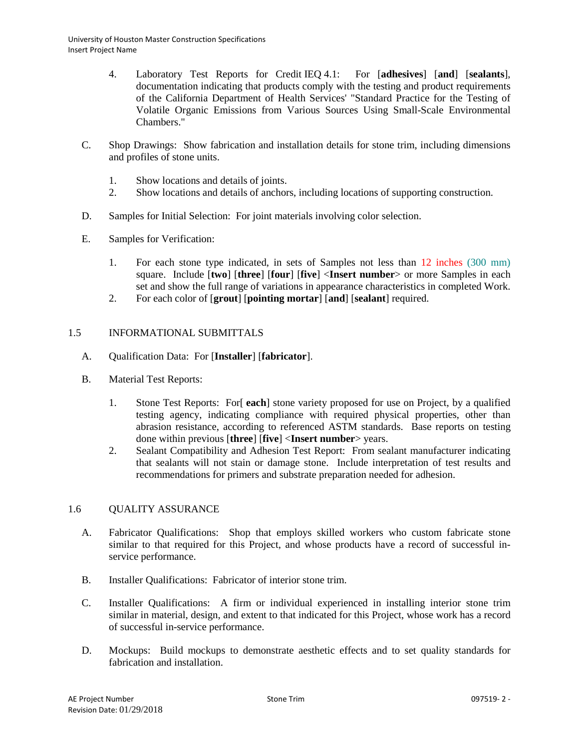- 4. Laboratory Test Reports for Credit IEQ 4.1: For [**adhesives**] [**and**] [**sealants**], documentation indicating that products comply with the testing and product requirements of the California Department of Health Services' "Standard Practice for the Testing of Volatile Organic Emissions from Various Sources Using Small-Scale Environmental Chambers."
- C. Shop Drawings: Show fabrication and installation details for stone trim, including dimensions and profiles of stone units.
	- 1. Show locations and details of joints.
	- 2. Show locations and details of anchors, including locations of supporting construction.
- D. Samples for Initial Selection: For joint materials involving color selection.
- E. Samples for Verification:
	- 1. For each stone type indicated, in sets of Samples not less than 12 inches (300 mm) square. Include [**two**] [**three**] [**four**] [**five**] <**Insert number**> or more Samples in each set and show the full range of variations in appearance characteristics in completed Work.
	- 2. For each color of [**grout**] [**pointing mortar**] [**and**] [**sealant**] required.

# 1.5 INFORMATIONAL SUBMITTALS

- A. Qualification Data: For [**Installer**] [**fabricator**].
- B. Material Test Reports:
	- 1. Stone Test Reports: For[ **each**] stone variety proposed for use on Project, by a qualified testing agency, indicating compliance with required physical properties, other than abrasion resistance, according to referenced ASTM standards. Base reports on testing done within previous [**three**] [**five**] <**Insert number**> years.
	- 2. Sealant Compatibility and Adhesion Test Report: From sealant manufacturer indicating that sealants will not stain or damage stone. Include interpretation of test results and recommendations for primers and substrate preparation needed for adhesion.

# 1.6 QUALITY ASSURANCE

- A. Fabricator Qualifications: Shop that employs skilled workers who custom fabricate stone similar to that required for this Project, and whose products have a record of successful inservice performance.
- B. Installer Qualifications: Fabricator of interior stone trim.
- C. Installer Qualifications: A firm or individual experienced in installing interior stone trim similar in material, design, and extent to that indicated for this Project, whose work has a record of successful in-service performance.
- D. Mockups: Build mockups to demonstrate aesthetic effects and to set quality standards for fabrication and installation.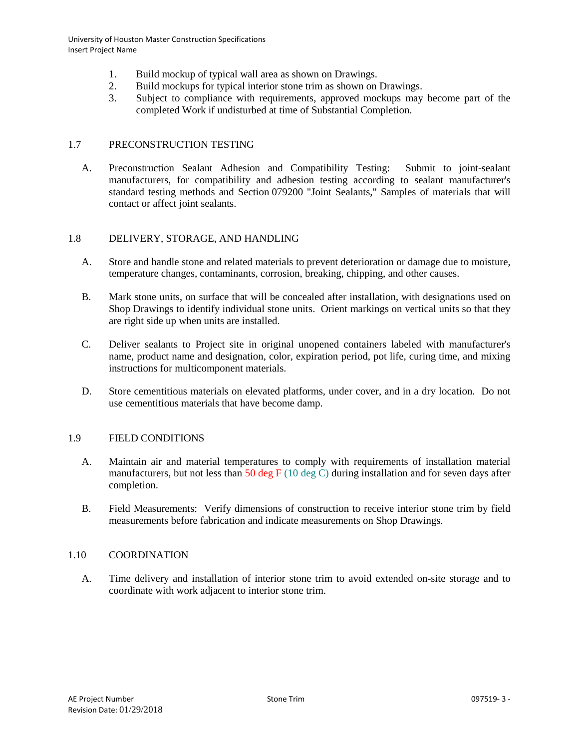- 1. Build mockup of typical wall area as shown on Drawings.
- 2. Build mockups for typical interior stone trim as shown on Drawings.
- 3. Subject to compliance with requirements, approved mockups may become part of the completed Work if undisturbed at time of Substantial Completion.

### 1.7 PRECONSTRUCTION TESTING

A. Preconstruction Sealant Adhesion and Compatibility Testing: Submit to joint-sealant manufacturers, for compatibility and adhesion testing according to sealant manufacturer's standard testing methods and Section 079200 "Joint Sealants," Samples of materials that will contact or affect joint sealants.

### 1.8 DELIVERY, STORAGE, AND HANDLING

- A. Store and handle stone and related materials to prevent deterioration or damage due to moisture, temperature changes, contaminants, corrosion, breaking, chipping, and other causes.
- B. Mark stone units, on surface that will be concealed after installation, with designations used on Shop Drawings to identify individual stone units. Orient markings on vertical units so that they are right side up when units are installed.
- C. Deliver sealants to Project site in original unopened containers labeled with manufacturer's name, product name and designation, color, expiration period, pot life, curing time, and mixing instructions for multicomponent materials.
- D. Store cementitious materials on elevated platforms, under cover, and in a dry location. Do not use cementitious materials that have become damp.

### 1.9 FIELD CONDITIONS

- A. Maintain air and material temperatures to comply with requirements of installation material manufacturers, but not less than 50 deg F (10 deg C) during installation and for seven days after completion.
- B. Field Measurements: Verify dimensions of construction to receive interior stone trim by field measurements before fabrication and indicate measurements on Shop Drawings.

### 1.10 COORDINATION

A. Time delivery and installation of interior stone trim to avoid extended on-site storage and to coordinate with work adjacent to interior stone trim.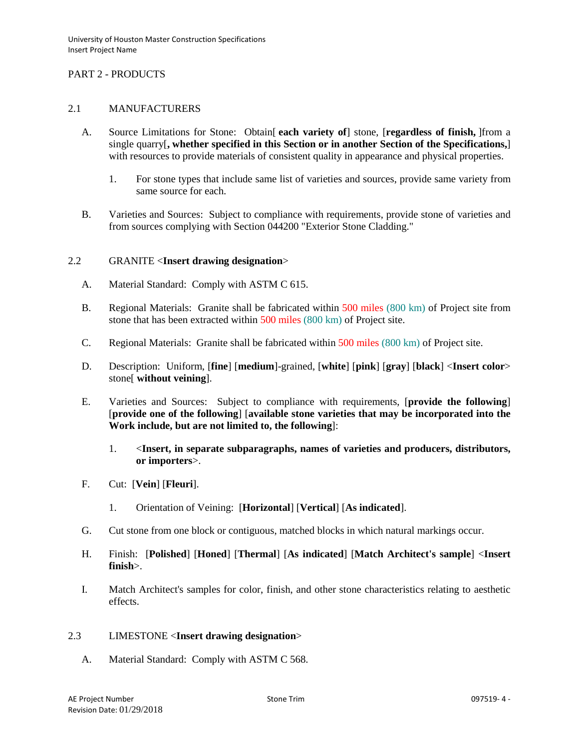# PART 2 - PRODUCTS

### 2.1 MANUFACTURERS

- A. Source Limitations for Stone: Obtain[ **each variety of**] stone, [**regardless of finish,** ]from a single quarry[**, whether specified in this Section or in another Section of the Specifications,**] with resources to provide materials of consistent quality in appearance and physical properties.
	- 1. For stone types that include same list of varieties and sources, provide same variety from same source for each.
- B. Varieties and Sources: Subject to compliance with requirements, provide stone of varieties and from sources complying with Section 044200 "Exterior Stone Cladding."

### 2.2 GRANITE <**Insert drawing designation**>

- A. Material Standard: Comply with ASTM C 615.
- B. Regional Materials: Granite shall be fabricated within 500 miles (800 km) of Project site from stone that has been extracted within 500 miles (800 km) of Project site.
- C. Regional Materials: Granite shall be fabricated within 500 miles (800 km) of Project site.
- D. Description: Uniform, [**fine**] [**medium**]-grained, [**white**] [**pink**] [**gray**] [**black**] <**Insert color**> stone[ **without veining**].
- E. Varieties and Sources: Subject to compliance with requirements, [**provide the following**] [**provide one of the following**] [**available stone varieties that may be incorporated into the Work include, but are not limited to, the following**]:
	- 1. <**Insert, in separate subparagraphs, names of varieties and producers, distributors, or importers**>.
- F. Cut: [**Vein**] [**Fleuri**].
	- 1. Orientation of Veining: [**Horizontal**] [**Vertical**] [**As indicated**].
- G. Cut stone from one block or contiguous, matched blocks in which natural markings occur.
- H. Finish: [**Polished**] [**Honed**] [**Thermal**] [**As indicated**] [**Match Architect's sample**] <**Insert finish**>.
- I. Match Architect's samples for color, finish, and other stone characteristics relating to aesthetic effects.

### 2.3 LIMESTONE <**Insert drawing designation**>

A. Material Standard: Comply with ASTM C 568.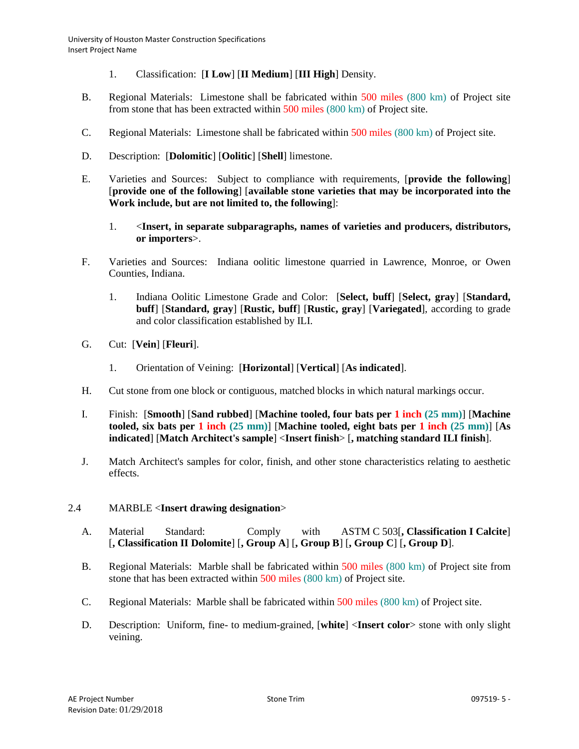- 1. Classification: [**I Low**] [**II Medium**] [**III High**] Density.
- B. Regional Materials: Limestone shall be fabricated within 500 miles (800 km) of Project site from stone that has been extracted within 500 miles (800 km) of Project site.
- C. Regional Materials: Limestone shall be fabricated within 500 miles (800 km) of Project site.
- D. Description: [**Dolomitic**] [**Oolitic**] [**Shell**] limestone.
- E. Varieties and Sources: Subject to compliance with requirements, [**provide the following**] [**provide one of the following**] [**available stone varieties that may be incorporated into the Work include, but are not limited to, the following**]:
	- 1. <**Insert, in separate subparagraphs, names of varieties and producers, distributors, or importers**>.
- F. Varieties and Sources: Indiana oolitic limestone quarried in Lawrence, Monroe, or Owen Counties, Indiana.
	- 1. Indiana Oolitic Limestone Grade and Color: [**Select, buff**] [**Select, gray**] [**Standard, buff**] [**Standard, gray**] [**Rustic, buff**] [**Rustic, gray**] [**Variegated**], according to grade and color classification established by ILI.
- G. Cut: [**Vein**] [**Fleuri**].
	- 1. Orientation of Veining: [**Horizontal**] [**Vertical**] [**As indicated**].
- H. Cut stone from one block or contiguous, matched blocks in which natural markings occur.
- I. Finish: [**Smooth**] [**Sand rubbed**] [**Machine tooled, four bats per 1 inch (25 mm)**] [**Machine tooled, six bats per 1 inch (25 mm)**] [**Machine tooled, eight bats per 1 inch (25 mm)**] [**As indicated**] [**Match Architect's sample**] <**Insert finish**> [**, matching standard ILI finish**].
- J. Match Architect's samples for color, finish, and other stone characteristics relating to aesthetic effects.

# 2.4 MARBLE <**Insert drawing designation**>

- A. Material Standard: Comply with ASTM C 503[**, Classification I Calcite**] [**, Classification II Dolomite**] [**, Group A**] [**, Group B**] [**, Group C**] [**, Group D**].
- B. Regional Materials: Marble shall be fabricated within 500 miles (800 km) of Project site from stone that has been extracted within 500 miles (800 km) of Project site.
- C. Regional Materials: Marble shall be fabricated within 500 miles (800 km) of Project site.
- D. Description: Uniform, fine- to medium-grained, [**white**] <**Insert color**> stone with only slight veining.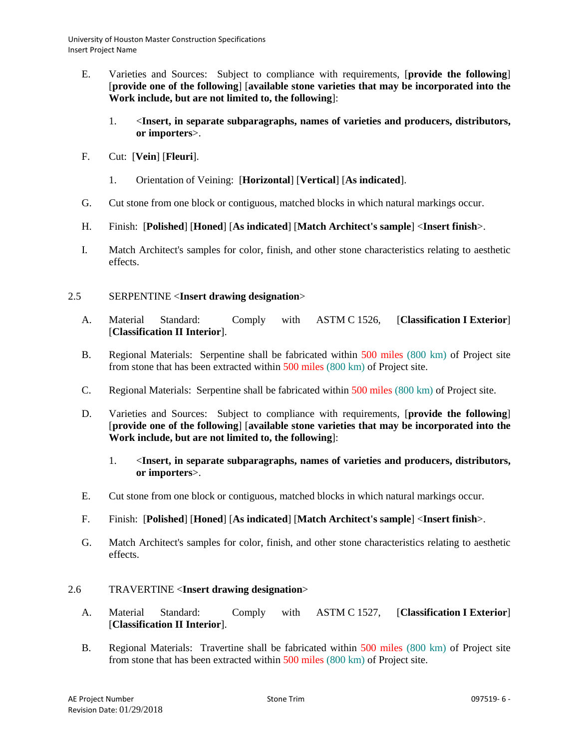- E. Varieties and Sources: Subject to compliance with requirements, [**provide the following**] [**provide one of the following**] [**available stone varieties that may be incorporated into the Work include, but are not limited to, the following**]:
	- 1. <**Insert, in separate subparagraphs, names of varieties and producers, distributors, or importers**>.
- F. Cut: [**Vein**] [**Fleuri**].
	- 1. Orientation of Veining: [**Horizontal**] [**Vertical**] [**As indicated**].
- G. Cut stone from one block or contiguous, matched blocks in which natural markings occur.
- H. Finish: [**Polished**] [**Honed**] [**As indicated**] [**Match Architect's sample**] <**Insert finish**>.
- I. Match Architect's samples for color, finish, and other stone characteristics relating to aesthetic effects.

# 2.5 SERPENTINE <**Insert drawing designation**>

- A. Material Standard: Comply with ASTM C 1526, [**Classification I Exterior**] [**Classification II Interior**].
- B. Regional Materials: Serpentine shall be fabricated within 500 miles (800 km) of Project site from stone that has been extracted within 500 miles (800 km) of Project site.
- C. Regional Materials: Serpentine shall be fabricated within 500 miles (800 km) of Project site.
- D. Varieties and Sources: Subject to compliance with requirements, [**provide the following**] [**provide one of the following**] [**available stone varieties that may be incorporated into the Work include, but are not limited to, the following**]:
	- 1. <**Insert, in separate subparagraphs, names of varieties and producers, distributors, or importers**>.
- E. Cut stone from one block or contiguous, matched blocks in which natural markings occur.
- F. Finish: [**Polished**] [**Honed**] [**As indicated**] [**Match Architect's sample**] <**Insert finish**>.
- G. Match Architect's samples for color, finish, and other stone characteristics relating to aesthetic effects.

# 2.6 TRAVERTINE <**Insert drawing designation**>

- A. Material Standard: Comply with ASTM C 1527, [**Classification I Exterior**] [**Classification II Interior**].
- B. Regional Materials: Travertine shall be fabricated within 500 miles (800 km) of Project site from stone that has been extracted within 500 miles (800 km) of Project site.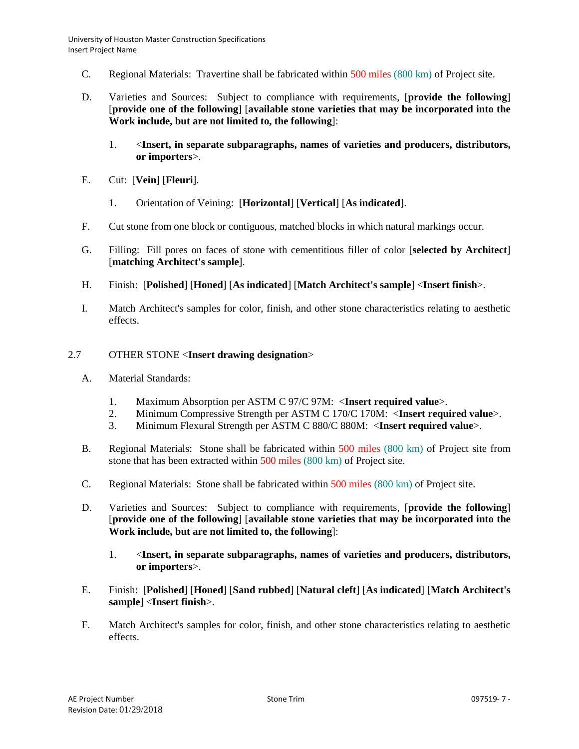- C. Regional Materials: Travertine shall be fabricated within 500 miles (800 km) of Project site.
- D. Varieties and Sources: Subject to compliance with requirements, [**provide the following**] [**provide one of the following**] [**available stone varieties that may be incorporated into the Work include, but are not limited to, the following**]:
	- 1. <**Insert, in separate subparagraphs, names of varieties and producers, distributors, or importers**>.
- E. Cut: [**Vein**] [**Fleuri**].
	- 1. Orientation of Veining: [**Horizontal**] [**Vertical**] [**As indicated**].
- F. Cut stone from one block or contiguous, matched blocks in which natural markings occur.
- G. Filling: Fill pores on faces of stone with cementitious filler of color [**selected by Architect**] [**matching Architect's sample**].
- H. Finish: [**Polished**] [**Honed**] [**As indicated**] [**Match Architect's sample**] <**Insert finish**>.
- I. Match Architect's samples for color, finish, and other stone characteristics relating to aesthetic effects.

## 2.7 OTHER STONE <**Insert drawing designation**>

- A. Material Standards:
	- 1. Maximum Absorption per ASTM C 97/C 97M: <**Insert required value**>.
	- 2. Minimum Compressive Strength per ASTM C 170/C 170M: <**Insert required value**>.
	- 3. Minimum Flexural Strength per ASTM C 880/C 880M: <**Insert required value**>.
- B. Regional Materials: Stone shall be fabricated within 500 miles (800 km) of Project site from stone that has been extracted within 500 miles (800 km) of Project site.
- C. Regional Materials: Stone shall be fabricated within 500 miles (800 km) of Project site.
- D. Varieties and Sources: Subject to compliance with requirements, [**provide the following**] [**provide one of the following**] [**available stone varieties that may be incorporated into the Work include, but are not limited to, the following**]:
	- 1. <**Insert, in separate subparagraphs, names of varieties and producers, distributors, or importers**>.
- E. Finish: [**Polished**] [**Honed**] [**Sand rubbed**] [**Natural cleft**] [**As indicated**] [**Match Architect's sample**] <**Insert finish**>.
- F. Match Architect's samples for color, finish, and other stone characteristics relating to aesthetic effects.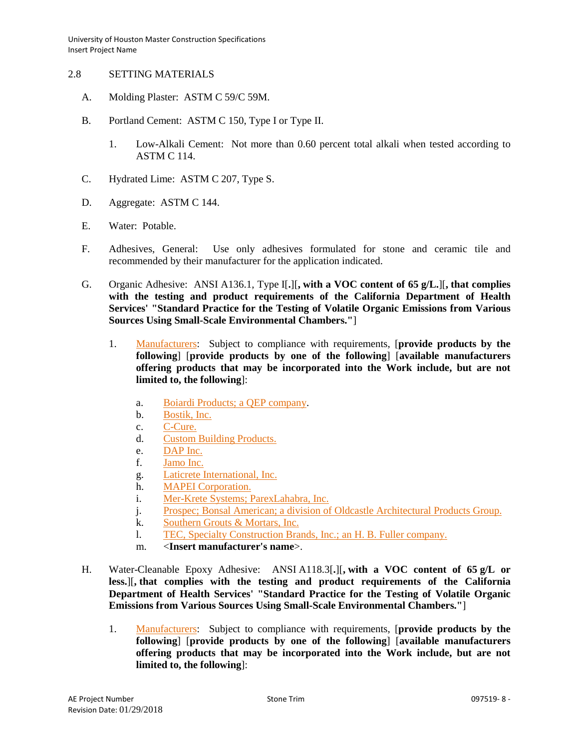## 2.8 SETTING MATERIALS

- A. Molding Plaster: ASTM C 59/C 59M.
- B. Portland Cement: ASTM C 150, Type I or Type II.
	- 1. Low-Alkali Cement: Not more than 0.60 percent total alkali when tested according to ASTM C 114.
- C. Hydrated Lime: ASTM C 207, Type S.
- D. Aggregate: ASTM C 144.
- E. Water: Potable.
- F. Adhesives, General: Use only adhesives formulated for stone and ceramic tile and recommended by their manufacturer for the application indicated.
- G. Organic Adhesive: ANSI A136.1, Type I[**.**][**, with a VOC content of 65 g/L.**][**, that complies with the testing and product requirements of the California Department of Health Services' "Standard Practice for the Testing of Volatile Organic Emissions from Various Sources Using Small-Scale Environmental Chambers."**]
	- 1. [Manufacturers:](http://www.specagent.com/LookUp/?ulid=6759&mf=04&src=wd) Subject to compliance with requirements, [**provide products by the following**] [**provide products by one of the following**] [**available manufacturers offering products that may be incorporated into the Work include, but are not limited to, the following**]:
		- a. [Boiardi Products; a QEP company.](http://www.specagent.com/LookUp/?uid=123456835532&mf=04&src=wd)
		- b. [Bostik, Inc.](http://www.specagent.com/LookUp/?uid=123456835533&mf=04&src=wd)
		- c. [C-Cure.](http://www.specagent.com/LookUp/?uid=123456835534&mf=04&src=wd)
		- d. [Custom Building Products.](http://www.specagent.com/LookUp/?uid=123456835535&mf=04&src=wd)
		- e. [DAP Inc.](http://www.specagent.com/LookUp/?uid=123456835536&mf=04&src=wd)
		- f. [Jamo Inc.](http://www.specagent.com/LookUp/?uid=123456835537&mf=04&src=wd)
		- g. [Laticrete International, Inc.](http://www.specagent.com/LookUp/?uid=123456835538&mf=04&src=wd)
		- h. [MAPEI Corporation.](http://www.specagent.com/LookUp/?uid=123456835539&mf=04&src=wd)
		- i. [Mer-Krete Systems; ParexLahabra, Inc.](http://www.specagent.com/LookUp/?uid=123456835540&mf=04&src=wd)
		- j. [Prospec; Bonsal American; a division of Oldcastle Architectural Products Group.](http://www.specagent.com/LookUp/?uid=123456835541&mf=04&src=wd)
		- k. [Southern Grouts & Mortars, Inc.](http://www.specagent.com/LookUp/?uid=123456835542&mf=04&src=wd)
		- l. [TEC, Specialty Construction Brands, Inc.; an H. B. Fuller company.](http://www.specagent.com/LookUp/?uid=123456835543&mf=04&src=wd)
		- m. <**Insert manufacturer's name**>.
- H. Water-Cleanable Epoxy Adhesive: ANSI A118.3[**.**][**, with a VOC content of 65 g/L or less.**][**, that complies with the testing and product requirements of the California Department of Health Services' "Standard Practice for the Testing of Volatile Organic Emissions from Various Sources Using Small-Scale Environmental Chambers."**]
	- 1. [Manufacturers:](http://www.specagent.com/LookUp/?ulid=6760&mf=04&src=wd) Subject to compliance with requirements, [**provide products by the following**] [**provide products by one of the following**] [**available manufacturers offering products that may be incorporated into the Work include, but are not limited to, the following**]: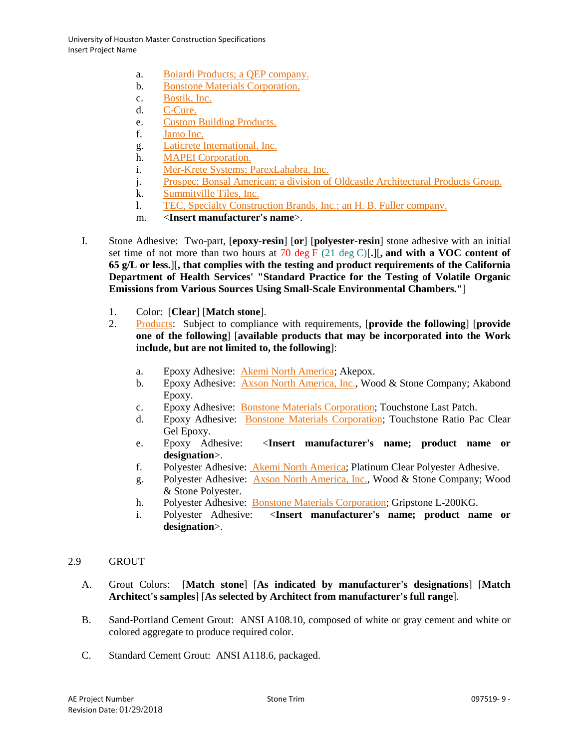- a. [Boiardi Products; a QEP company.](http://www.specagent.com/LookUp/?uid=123456835544&mf=04&src=wd)
- b. [Bonstone Materials Corporation.](http://www.specagent.com/LookUp/?uid=123456835545&mf=04&src=wd)
- c. [Bostik, Inc.](http://www.specagent.com/LookUp/?uid=123456835546&mf=04&src=wd)
- d. [C-Cure.](http://www.specagent.com/LookUp/?uid=123456835547&mf=04&src=wd)
- e. [Custom Building Products.](http://www.specagent.com/LookUp/?uid=123456835548&mf=04&src=wd)
- f. [Jamo Inc.](http://www.specagent.com/LookUp/?uid=123456835550&mf=04&src=wd)
- g. [Laticrete International, Inc.](http://www.specagent.com/LookUp/?uid=123456835551&mf=04&src=wd)
- h. [MAPEI Corporation.](http://www.specagent.com/LookUp/?uid=123456835552&mf=04&src=wd)
- i. [Mer-Krete Systems; ParexLahabra, Inc.](http://www.specagent.com/LookUp/?uid=123456835553&mf=04&src=wd)
- j. [Prospec; Bonsal American; a division of Oldcastle Architectural Products Group.](http://www.specagent.com/LookUp/?uid=123456835549&mf=04&src=wd)
- k. [Summitville Tiles, Inc.](http://www.specagent.com/LookUp/?uid=123456835554&mf=04&src=wd)
- l. [TEC, Specialty Construction Brands, Inc.; an H. B. Fuller company.](http://www.specagent.com/LookUp/?uid=123456835555&mf=04&src=wd)
- m. <**Insert manufacturer's name**>.
- I. Stone Adhesive: Two-part, [**epoxy-resin**] [**or**] [**polyester-resin**] stone adhesive with an initial set time of not more than two hours at 70 deg F (21 deg C)[**.**][**, and with a VOC content of 65 g/L or less.**][**, that complies with the testing and product requirements of the California Department of Health Services' "Standard Practice for the Testing of Volatile Organic Emissions from Various Sources Using Small-Scale Environmental Chambers."**]
	- 1. Color: [**Clear**] [**Match stone**].
	- 2. [Products:](http://www.specagent.com/LookUp/?ulid=6761&mf=04&src=wd) Subject to compliance with requirements, [**provide the following**] [**provide one of the following**] [**available products that may be incorporated into the Work include, but are not limited to, the following**]:
		- a. Epoxy Adhesive: [Akemi North America;](http://www.specagent.com/LookUp/?uid=123456835567&mf=04&src=wd) Akepox.
		- b. Epoxy Adhesive: [Axson North America, Inc.,](http://www.specagent.com/LookUp/?uid=123456835568&mf=04&src=wd) Wood & Stone Company; Akabond Epoxy.
		- c. Epoxy Adhesive: [Bonstone Materials Corporation;](http://www.specagent.com/LookUp/?uid=123456835569&mf=04&src=wd) Touchstone Last Patch.
		- d. Epoxy Adhesive: [Bonstone Materials Corporation;](http://www.specagent.com/LookUp/?uid=123456835569&mf=04&src=wd) Touchstone Ratio Pac Clear Gel Epoxy.
		- e. Epoxy Adhesive: <**Insert manufacturer's name; product name or designation**>.
		- f. Polyester Adhesive: [Akemi North America;](http://www.specagent.com/LookUp/?uid=123456835567&mf=04&src=wd) Platinum Clear Polyester Adhesive.
		- g. Polyester Adhesive: [Axson North America, Inc.,](http://www.specagent.com/LookUp/?uid=123456835568&mf=04&src=wd) Wood & Stone Company; Wood & Stone Polyester.
		- h. Polyester Adhesive: [Bonstone Materials Corporation;](http://www.specagent.com/LookUp/?uid=123456835569&mf=04&src=wd) Gripstone L-200KG.
		- i. Polyester Adhesive: <**Insert manufacturer's name; product name or designation**>.

# 2.9 GROUT

- A. Grout Colors: [**Match stone**] [**As indicated by manufacturer's designations**] [**Match Architect's samples**] [**As selected by Architect from manufacturer's full range**].
- B. Sand-Portland Cement Grout: ANSI A108.10, composed of white or gray cement and white or colored aggregate to produce required color.
- C. Standard Cement Grout: ANSI A118.6, packaged.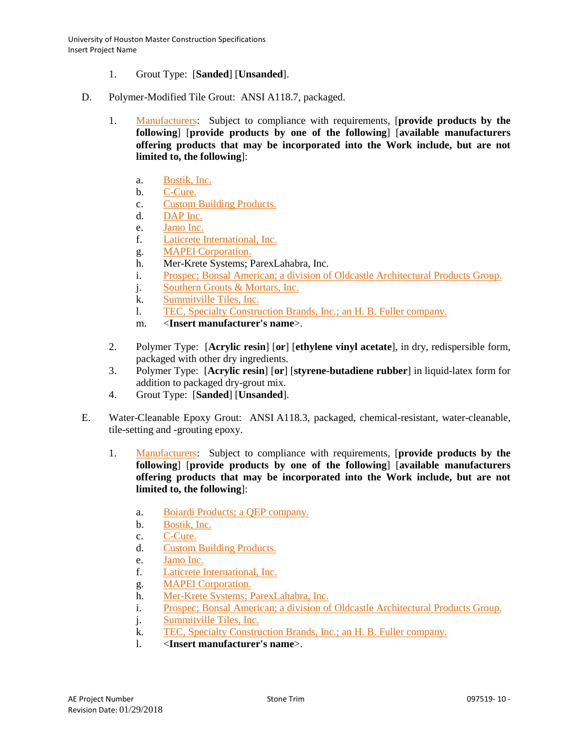- 1. Grout Type: [**Sanded**] [**Unsanded**].
- D. Polymer-Modified Tile Grout: ANSI A118.7, packaged.
	- 1. [Manufacturers:](http://www.specagent.com/LookUp/?ulid=6765&mf=04&src=wd) Subject to compliance with requirements, [**provide products by the following**] [**provide products by one of the following**] [**available manufacturers offering products that may be incorporated into the Work include, but are not limited to, the following**]:
		- a. [Bostik, Inc.](http://www.specagent.com/LookUp/?uid=123456835572&mf=04&src=wd)
		- b. [C-Cure.](http://www.specagent.com/LookUp/?uid=123456835574&mf=04&src=wd)
		- c. [Custom Building Products.](http://www.specagent.com/LookUp/?uid=123456835575&mf=04&src=wd)
		- d. [DAP Inc.](http://www.specagent.com/LookUp/?uid=123456835576&mf=04&src=wd)
		- e. [Jamo Inc.](http://www.specagent.com/LookUp/?uid=123456835577&mf=04&src=wd)
		- f. [Laticrete International, Inc.](http://www.specagent.com/LookUp/?uid=123456835578&mf=04&src=wd)
		- g. [MAPEI Corporation.](http://www.specagent.com/LookUp/?uid=123456835579&mf=04&src=wd)
		- h. Mer-Krete Systems; ParexLahabra, Inc.
		- i. [Prospec; Bonsal American; a division of Oldcastle Architectural Products Group.](http://www.specagent.com/LookUp/?uid=123456835582&mf=04&src=wd)
		- j. [Southern Grouts & Mortars, Inc.](http://www.specagent.com/LookUp/?uid=123456835584&mf=04&src=wd)
		- k. [Summitville Tiles, Inc.](http://www.specagent.com/LookUp/?uid=123456835586&mf=04&src=wd)
		- l. [TEC, Specialty Construction Brands, Inc.; an H. B. Fuller company.](http://www.specagent.com/LookUp/?uid=123456835587&mf=04&src=wd)
		- m. <**Insert manufacturer's name**>.
	- 2. Polymer Type: [**Acrylic resin**] [**or**] [**ethylene vinyl acetate**], in dry, redispersible form, packaged with other dry ingredients.
	- 3. Polymer Type: [**Acrylic resin**] [**or**] [**styrene-butadiene rubber**] in liquid-latex form for addition to packaged dry-grout mix.
	- 4. Grout Type: [**Sanded**] [**Unsanded**].
- E. Water-Cleanable Epoxy Grout: ANSI A118.3, packaged, chemical-resistant, water-cleanable, tile-setting and -grouting epoxy.
	- 1. [Manufacturers:](http://www.specagent.com/LookUp/?ulid=6767&mf=04&src=wd) Subject to compliance with requirements, [**provide products by the following**] [**provide products by one of the following**] [**available manufacturers offering products that may be incorporated into the Work include, but are not limited to, the following**]:
		- a. [Boiardi Products; a QEP company.](http://www.specagent.com/LookUp/?uid=a.%20Boiardi%20Products;%20a%20QEP%20company.&mf=04&src=wd)
		- b. [Bostik, Inc.](http://www.specagent.com/LookUp/?uid=123456835590&mf=04&src=wd)
		- c. [C-Cure.](http://www.specagent.com/LookUp/?uid=123456835591&mf=04&src=wd)
		- d. [Custom Building Products.](http://www.specagent.com/LookUp/?uid=123456835592&mf=04&src=wd)
		- e. [Jamo Inc.](http://www.specagent.com/LookUp/?uid=123456835593&mf=04&src=wd)
		- f. [Laticrete International, Inc.](http://www.specagent.com/LookUp/?uid=123456835594&mf=04&src=wd)
		- g. [MAPEI Corporation.](http://www.specagent.com/LookUp/?uid=123456835595&mf=04&src=wd)
		- h. [Mer-Krete Systems; ParexLahabra, Inc.](http://www.specagent.com/LookUp/?uid=123456835596&mf=04&src=wd)
		- i. [Prospec; Bonsal American; a division of Oldcastle Architectural Products Group.](http://www.specagent.com/LookUp/?uid=123456835597&mf=04&src=wd)
		- j. [Summitville Tiles, Inc.](http://www.specagent.com/LookUp/?uid=123456835598&mf=04&src=wd)
		- k. [TEC, Specialty Construction Brands, Inc.; an H. B. Fuller company.](http://www.specagent.com/LookUp/?uid=123456835599&mf=04&src=wd)
		- l. <**Insert manufacturer's name**>.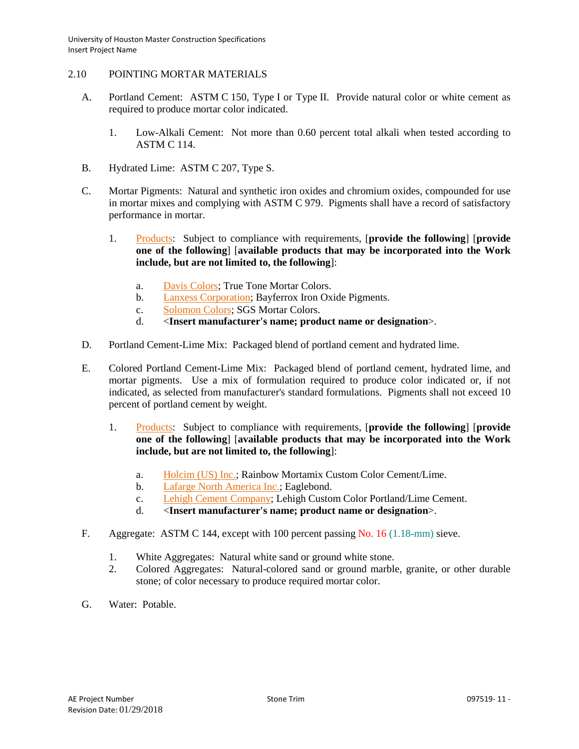## 2.10 POINTING MORTAR MATERIALS

- A. Portland Cement: ASTM C 150, Type I or Type II. Provide natural color or white cement as required to produce mortar color indicated.
	- 1. Low-Alkali Cement: Not more than 0.60 percent total alkali when tested according to ASTM C 114.
- B. Hydrated Lime: ASTM C 207, Type S.
- C. Mortar Pigments: Natural and synthetic iron oxides and chromium oxides, compounded for use in mortar mixes and complying with ASTM C 979. Pigments shall have a record of satisfactory performance in mortar.
	- 1. [Products:](http://www.specagent.com/LookUp/?ulid=6769&mf=04&src=wd) Subject to compliance with requirements, [**provide the following**] [**provide one of the following**] [**available products that may be incorporated into the Work include, but are not limited to, the following**]:
		- a. [Davis Colors;](http://www.specagent.com/LookUp/?uid=123456835602&mf=04&src=wd) True Tone Mortar Colors.
		- b. [Lanxess Corporation;](http://www.specagent.com/LookUp/?uid=123456835603&mf=04&src=wd) Bayferrox Iron Oxide Pigments.
		- c. [Solomon Colors;](http://www.specagent.com/LookUp/?uid=123456835604&mf=04&src=wd) SGS Mortar Colors.
		- d. <**Insert manufacturer's name; product name or designation**>.
- D. Portland Cement-Lime Mix: Packaged blend of portland cement and hydrated lime.
- E. Colored Portland Cement-Lime Mix: Packaged blend of portland cement, hydrated lime, and mortar pigments. Use a mix of formulation required to produce color indicated or, if not indicated, as selected from manufacturer's standard formulations. Pigments shall not exceed 10 percent of portland cement by weight.
	- 1. [Products:](http://www.specagent.com/LookUp/?ulid=6770&mf=04&src=wd) Subject to compliance with requirements, [**provide the following**] [**provide one of the following**] [**available products that may be incorporated into the Work include, but are not limited to, the following**]:
		- a. [Holcim \(US\) Inc.;](http://www.specagent.com/LookUp/?uid=123456835605&mf=04&src=wd) Rainbow Mortamix Custom Color Cement/Lime.
		- b. [Lafarge North America Inc.;](http://www.specagent.com/LookUp/?uid=123456835606&mf=04&src=wd) Eaglebond.
		- c. [Lehigh Cement Company;](http://www.specagent.com/LookUp/?uid=123456835608&mf=04&src=wd) Lehigh Custom Color Portland/Lime Cement.
		- d. <**Insert manufacturer's name; product name or designation**>.
- F. Aggregate: ASTM C 144, except with 100 percent passing No. 16 (1.18-mm) sieve.
	- 1. White Aggregates: Natural white sand or ground white stone.
	- 2. Colored Aggregates: Natural-colored sand or ground marble, granite, or other durable stone; of color necessary to produce required mortar color.
- G. Water: Potable.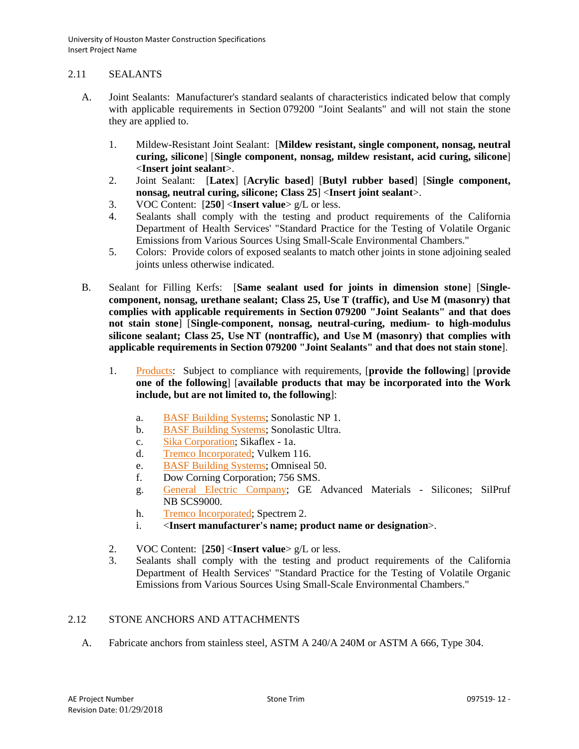## 2.11 SEALANTS

- A. Joint Sealants: Manufacturer's standard sealants of characteristics indicated below that comply with applicable requirements in Section 079200 "Joint Sealants" and will not stain the stone they are applied to.
	- 1. Mildew-Resistant Joint Sealant: [**Mildew resistant, single component, nonsag, neutral curing, silicone**] [**Single component, nonsag, mildew resistant, acid curing, silicone**] <**Insert joint sealant**>.
	- 2. Joint Sealant: [**Latex**] [**Acrylic based**] [**Butyl rubber based**] [**Single component, nonsag, neutral curing, silicone; Class 25**] <**Insert joint sealant**>.
	- 3. VOC Content: [**250**] <**Insert value**> g/L or less.
	- 4. Sealants shall comply with the testing and product requirements of the California Department of Health Services' "Standard Practice for the Testing of Volatile Organic Emissions from Various Sources Using Small-Scale Environmental Chambers."
	- 5. Colors: Provide colors of exposed sealants to match other joints in stone adjoining sealed joints unless otherwise indicated.
- B. Sealant for Filling Kerfs: [**Same sealant used for joints in dimension stone**] [**Singlecomponent, nonsag, urethane sealant; Class 25, Use T (traffic), and Use M (masonry) that complies with applicable requirements in Section 079200 "Joint Sealants" and that does not stain stone**] [**Single-component, nonsag, neutral-curing, medium- to high-modulus silicone sealant; Class 25, Use NT (nontraffic), and Use M (masonry) that complies with applicable requirements in Section 079200 "Joint Sealants" and that does not stain stone**].
	- 1. [Products:](http://www.specagent.com/LookUp/?ulid=6771&mf=04&src=wd) Subject to compliance with requirements, [**provide the following**] [**provide one of the following**] [**available products that may be incorporated into the Work include, but are not limited to, the following**]:
		- a. [BASF Building Systems;](http://www.specagent.com/LookUp/?uid=123456835610&mf=04&src=wd) Sonolastic NP 1.
		- b. [BASF Building Systems;](http://www.specagent.com/LookUp/?uid=123456835610&mf=04&src=wd) Sonolastic Ultra.
		- c. [Sika Corporation;](http://www.specagent.com/LookUp/?uid=123456835611&mf=04&src=wd) Sikaflex 1a.
		- d. [Tremco Incorporated;](http://www.specagent.com/LookUp/?uid=123456835612&mf=04&src=wd) Vulkem 116.
		- e. [BASF Building Systems;](http://www.specagent.com/LookUp/?uid=123456835610&mf=04&src=wd) Omniseal 50.
		- f. Dow Corning Corporation; 756 SMS.
		- g. [General Electric Company;](http://www.specagent.com/LookUp/?uid=123456835613&mf=04&src=wd) GE Advanced Materials Silicones; SilPruf NB SCS9000.
		- h. [Tremco Incorporated;](http://www.specagent.com/LookUp/?uid=123456835612&mf=04&src=wd) Spectrem 2.
		- i. <**Insert manufacturer's name; product name or designation**>.
	- 2. VOC Content: [**250**] <**Insert value**> g/L or less.
	- 3. Sealants shall comply with the testing and product requirements of the California Department of Health Services' "Standard Practice for the Testing of Volatile Organic Emissions from Various Sources Using Small-Scale Environmental Chambers."

# 2.12 STONE ANCHORS AND ATTACHMENTS

A. Fabricate anchors from stainless steel, ASTM A 240/A 240M or ASTM A 666, Type 304.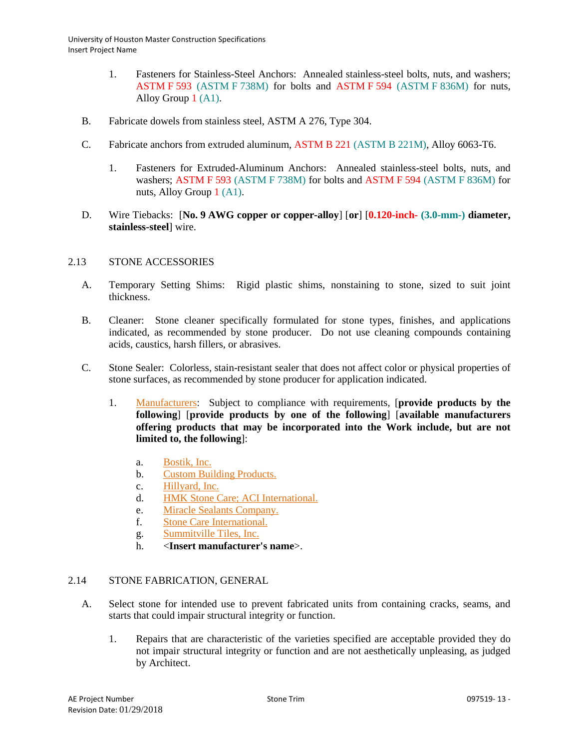- 1. Fasteners for Stainless-Steel Anchors: Annealed stainless-steel bolts, nuts, and washers; ASTM F 593 (ASTM F 738M) for bolts and ASTM F 594 (ASTM F 836M) for nuts, Alloy Group 1 (A1).
- B. Fabricate dowels from stainless steel, ASTM A 276, Type 304.
- C. Fabricate anchors from extruded aluminum, ASTM B 221 (ASTM B 221M), Alloy 6063-T6.
	- 1. Fasteners for Extruded-Aluminum Anchors: Annealed stainless-steel bolts, nuts, and washers; ASTM F 593 (ASTM F 738M) for bolts and ASTM F 594 (ASTM F 836M) for nuts, Alloy Group 1 (A1).
- D. Wire Tiebacks: [**No. 9 AWG copper or copper-alloy**] [**or**] [**0.120-inch- (3.0-mm-) diameter, stainless-steel**] wire.

# 2.13 STONE ACCESSORIES

- A. Temporary Setting Shims: Rigid plastic shims, nonstaining to stone, sized to suit joint thickness.
- B. Cleaner: Stone cleaner specifically formulated for stone types, finishes, and applications indicated, as recommended by stone producer. Do not use cleaning compounds containing acids, caustics, harsh fillers, or abrasives.
- C. Stone Sealer: Colorless, stain-resistant sealer that does not affect color or physical properties of stone surfaces, as recommended by stone producer for application indicated.
	- 1. [Manufacturers:](http://www.specagent.com/LookUp/?ulid=6772&mf=04&src=wd) Subject to compliance with requirements, [**provide products by the following**] [**provide products by one of the following**] [**available manufacturers offering products that may be incorporated into the Work include, but are not limited to, the following**]:
		- a. [Bostik, Inc.](http://www.specagent.com/LookUp/?uid=123456835616&mf=04&src=wd)
		- b. [Custom Building Products.](http://www.specagent.com/LookUp/?uid=123456835617&mf=04&src=wd)
		- c. [Hillyard, Inc.](http://www.specagent.com/LookUp/?uid=123456835618&mf=04&src=wd)
		- d. [HMK Stone Care; ACI International.](http://www.specagent.com/LookUp/?uid=123456835619&mf=04&src=wd)
		- e. [Miracle Sealants Company.](http://www.specagent.com/LookUp/?uid=123456835621&mf=04&src=wd)
		- f. [Stone Care International.](http://www.specagent.com/LookUp/?uid=123456835622&mf=04&src=wd)
		- g. [Summitville Tiles, Inc.](http://www.specagent.com/LookUp/?uid=123456835623&mf=04&src=wd)
		- h. <**Insert manufacturer's name**>.

# 2.14 STONE FABRICATION, GENERAL

- A. Select stone for intended use to prevent fabricated units from containing cracks, seams, and starts that could impair structural integrity or function.
	- 1. Repairs that are characteristic of the varieties specified are acceptable provided they do not impair structural integrity or function and are not aesthetically unpleasing, as judged by Architect.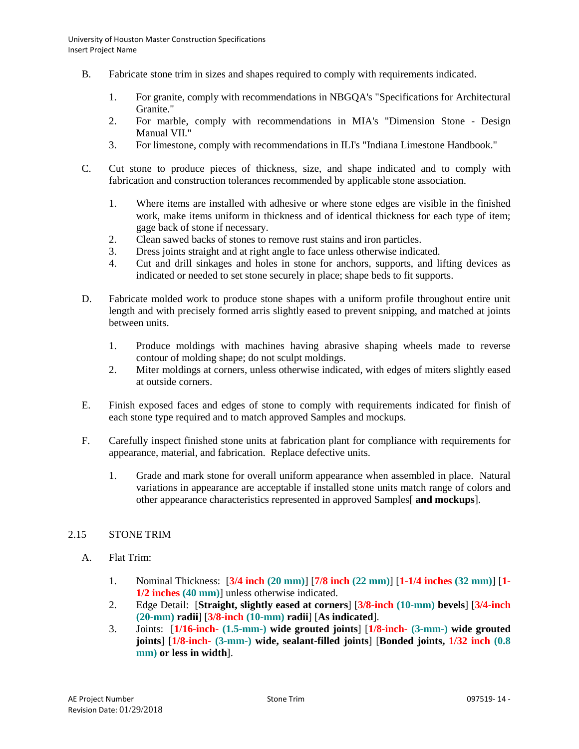- B. Fabricate stone trim in sizes and shapes required to comply with requirements indicated.
	- 1. For granite, comply with recommendations in NBGQA's "Specifications for Architectural Granite."
	- 2. For marble, comply with recommendations in MIA's "Dimension Stone Design Manual VII."
	- 3. For limestone, comply with recommendations in ILI's "Indiana Limestone Handbook."
- C. Cut stone to produce pieces of thickness, size, and shape indicated and to comply with fabrication and construction tolerances recommended by applicable stone association.
	- 1. Where items are installed with adhesive or where stone edges are visible in the finished work, make items uniform in thickness and of identical thickness for each type of item; gage back of stone if necessary.
	- 2. Clean sawed backs of stones to remove rust stains and iron particles.
	- 3. Dress joints straight and at right angle to face unless otherwise indicated.
	- 4. Cut and drill sinkages and holes in stone for anchors, supports, and lifting devices as indicated or needed to set stone securely in place; shape beds to fit supports.
- D. Fabricate molded work to produce stone shapes with a uniform profile throughout entire unit length and with precisely formed arris slightly eased to prevent snipping, and matched at joints between units.
	- 1. Produce moldings with machines having abrasive shaping wheels made to reverse contour of molding shape; do not sculpt moldings.
	- 2. Miter moldings at corners, unless otherwise indicated, with edges of miters slightly eased at outside corners.
- E. Finish exposed faces and edges of stone to comply with requirements indicated for finish of each stone type required and to match approved Samples and mockups.
- F. Carefully inspect finished stone units at fabrication plant for compliance with requirements for appearance, material, and fabrication. Replace defective units.
	- 1. Grade and mark stone for overall uniform appearance when assembled in place. Natural variations in appearance are acceptable if installed stone units match range of colors and other appearance characteristics represented in approved Samples[ **and mockups**].

# 2.15 STONE TRIM

- A. Flat Trim:
	- 1. Nominal Thickness: [**3/4 inch (20 mm)**] [**7/8 inch (22 mm)**] [**1-1/4 inches (32 mm)**] [**1- 1/2 inches (40 mm)**] unless otherwise indicated.
	- 2. Edge Detail: [**Straight, slightly eased at corners**] [**3/8-inch (10-mm) bevels**] [**3/4-inch (20-mm) radii**] [**3/8-inch (10-mm) radii**] [**As indicated**].
	- 3. Joints: [**1/16-inch- (1.5-mm-) wide grouted joints**] [**1/8-inch- (3-mm-) wide grouted joints**] [**1/8-inch- (3-mm-) wide, sealant-filled joints**] [**Bonded joints, 1/32 inch (0.8 mm) or less in width**].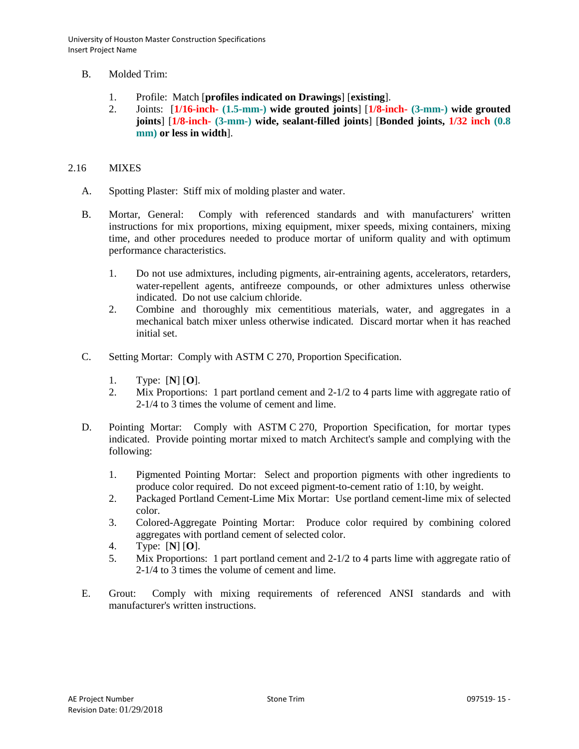- B. Molded Trim:
	- 1. Profile: Match [**profiles indicated on Drawings**] [**existing**].
	- 2. Joints: [**1/16-inch- (1.5-mm-) wide grouted joints**] [**1/8-inch- (3-mm-) wide grouted joints**] [**1/8-inch- (3-mm-) wide, sealant-filled joints**] [**Bonded joints, 1/32 inch (0.8 mm) or less in width**].

#### 2.16 MIXES

- A. Spotting Plaster: Stiff mix of molding plaster and water.
- B. Mortar, General: Comply with referenced standards and with manufacturers' written instructions for mix proportions, mixing equipment, mixer speeds, mixing containers, mixing time, and other procedures needed to produce mortar of uniform quality and with optimum performance characteristics.
	- 1. Do not use admixtures, including pigments, air-entraining agents, accelerators, retarders, water-repellent agents, antifreeze compounds, or other admixtures unless otherwise indicated. Do not use calcium chloride.
	- 2. Combine and thoroughly mix cementitious materials, water, and aggregates in a mechanical batch mixer unless otherwise indicated. Discard mortar when it has reached initial set.
- C. Setting Mortar: Comply with ASTM C 270, Proportion Specification.
	- 1. Type: [**N**] [**O**].
	- 2. Mix Proportions: 1 part portland cement and 2-1/2 to 4 parts lime with aggregate ratio of 2-1/4 to 3 times the volume of cement and lime.
- D. Pointing Mortar: Comply with ASTM C 270, Proportion Specification, for mortar types indicated. Provide pointing mortar mixed to match Architect's sample and complying with the following:
	- 1. Pigmented Pointing Mortar: Select and proportion pigments with other ingredients to produce color required. Do not exceed pigment-to-cement ratio of 1:10, by weight.
	- 2. Packaged Portland Cement-Lime Mix Mortar: Use portland cement-lime mix of selected color.
	- 3. Colored-Aggregate Pointing Mortar: Produce color required by combining colored aggregates with portland cement of selected color.
	- 4. Type: [**N**] [**O**].
	- 5. Mix Proportions: 1 part portland cement and 2-1/2 to 4 parts lime with aggregate ratio of 2-1/4 to 3 times the volume of cement and lime.
- E. Grout: Comply with mixing requirements of referenced ANSI standards and with manufacturer's written instructions.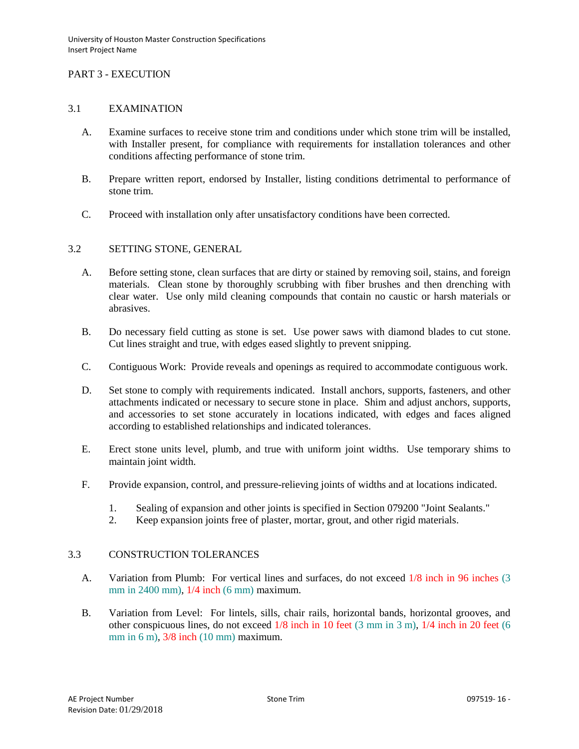# PART 3 - EXECUTION

## 3.1 EXAMINATION

- A. Examine surfaces to receive stone trim and conditions under which stone trim will be installed, with Installer present, for compliance with requirements for installation tolerances and other conditions affecting performance of stone trim.
- B. Prepare written report, endorsed by Installer, listing conditions detrimental to performance of stone trim.
- C. Proceed with installation only after unsatisfactory conditions have been corrected.

## 3.2 SETTING STONE, GENERAL

- A. Before setting stone, clean surfaces that are dirty or stained by removing soil, stains, and foreign materials. Clean stone by thoroughly scrubbing with fiber brushes and then drenching with clear water. Use only mild cleaning compounds that contain no caustic or harsh materials or abrasives.
- B. Do necessary field cutting as stone is set. Use power saws with diamond blades to cut stone. Cut lines straight and true, with edges eased slightly to prevent snipping.
- C. Contiguous Work: Provide reveals and openings as required to accommodate contiguous work.
- D. Set stone to comply with requirements indicated. Install anchors, supports, fasteners, and other attachments indicated or necessary to secure stone in place. Shim and adjust anchors, supports, and accessories to set stone accurately in locations indicated, with edges and faces aligned according to established relationships and indicated tolerances.
- E. Erect stone units level, plumb, and true with uniform joint widths. Use temporary shims to maintain joint width.
- F. Provide expansion, control, and pressure-relieving joints of widths and at locations indicated.
	- 1. Sealing of expansion and other joints is specified in Section 079200 "Joint Sealants."
	- 2. Keep expansion joints free of plaster, mortar, grout, and other rigid materials.

#### 3.3 CONSTRUCTION TOLERANCES

- A. Variation from Plumb: For vertical lines and surfaces, do not exceed 1/8 inch in 96 inches (3 mm in 2400 mm), 1/4 inch (6 mm) maximum.
- B. Variation from Level: For lintels, sills, chair rails, horizontal bands, horizontal grooves, and other conspicuous lines, do not exceed 1/8 inch in 10 feet (3 mm in 3 m), 1/4 inch in 20 feet (6 mm in 6 m), 3/8 inch (10 mm) maximum.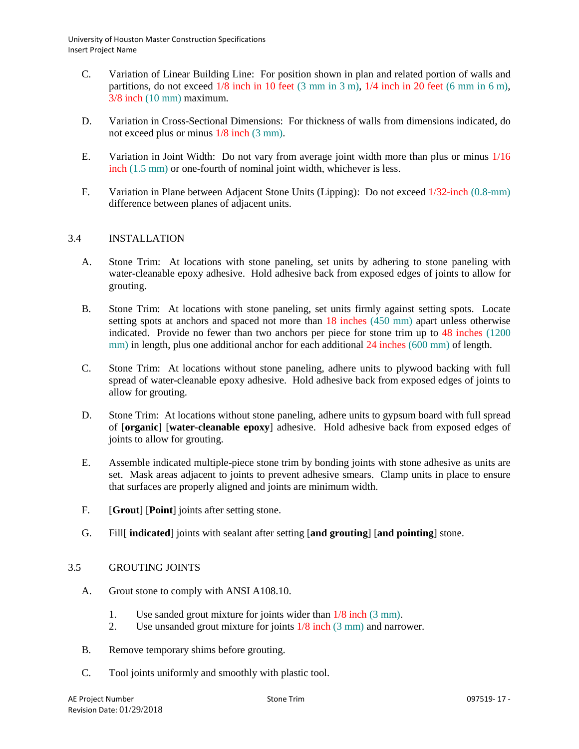- C. Variation of Linear Building Line: For position shown in plan and related portion of walls and partitions, do not exceed  $1/8$  inch in 10 feet (3 mm in 3 m),  $1/4$  inch in 20 feet (6 mm in 6 m), 3/8 inch (10 mm) maximum.
- D. Variation in Cross-Sectional Dimensions: For thickness of walls from dimensions indicated, do not exceed plus or minus 1/8 inch (3 mm).
- E. Variation in Joint Width: Do not vary from average joint width more than plus or minus 1/16 inch (1.5 mm) or one-fourth of nominal joint width, whichever is less.
- F. Variation in Plane between Adjacent Stone Units (Lipping): Do not exceed 1/32-inch (0.8-mm) difference between planes of adjacent units.

# 3.4 INSTALLATION

- A. Stone Trim: At locations with stone paneling, set units by adhering to stone paneling with water-cleanable epoxy adhesive. Hold adhesive back from exposed edges of joints to allow for grouting.
- B. Stone Trim: At locations with stone paneling, set units firmly against setting spots. Locate setting spots at anchors and spaced not more than 18 inches (450 mm) apart unless otherwise indicated. Provide no fewer than two anchors per piece for stone trim up to 48 inches (1200 mm) in length, plus one additional anchor for each additional 24 inches (600 mm) of length.
- C. Stone Trim: At locations without stone paneling, adhere units to plywood backing with full spread of water-cleanable epoxy adhesive. Hold adhesive back from exposed edges of joints to allow for grouting.
- D. Stone Trim: At locations without stone paneling, adhere units to gypsum board with full spread of [**organic**] [**water-cleanable epoxy**] adhesive. Hold adhesive back from exposed edges of joints to allow for grouting.
- E. Assemble indicated multiple-piece stone trim by bonding joints with stone adhesive as units are set. Mask areas adjacent to joints to prevent adhesive smears. Clamp units in place to ensure that surfaces are properly aligned and joints are minimum width.
- F. [**Grout**] [**Point**] joints after setting stone.
- G. Fill[ **indicated**] joints with sealant after setting [**and grouting**] [**and pointing**] stone.

# 3.5 GROUTING JOINTS

- A. Grout stone to comply with ANSI A108.10.
	- 1. Use sanded grout mixture for joints wider than 1/8 inch (3 mm).
	- 2. Use unsanded grout mixture for joints 1/8 inch (3 mm) and narrower.
- B. Remove temporary shims before grouting.
- C. Tool joints uniformly and smoothly with plastic tool.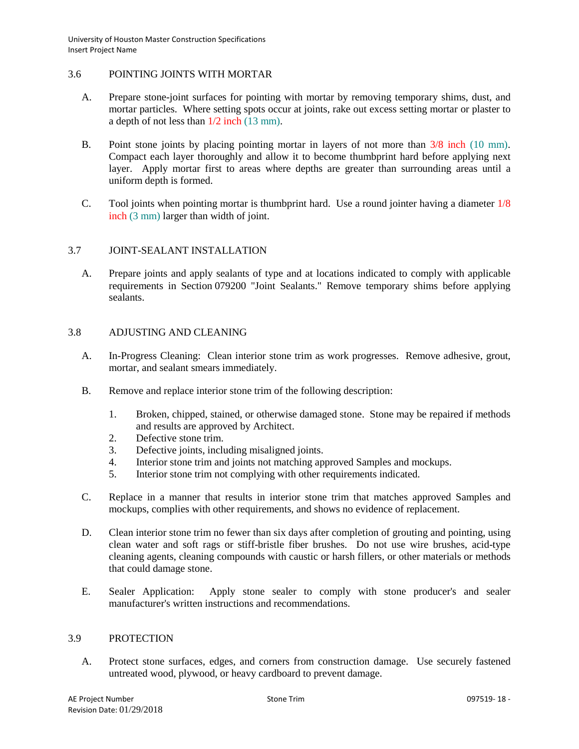# 3.6 POINTING JOINTS WITH MORTAR

- A. Prepare stone-joint surfaces for pointing with mortar by removing temporary shims, dust, and mortar particles. Where setting spots occur at joints, rake out excess setting mortar or plaster to a depth of not less than 1/2 inch (13 mm).
- B. Point stone joints by placing pointing mortar in layers of not more than 3/8 inch (10 mm). Compact each layer thoroughly and allow it to become thumbprint hard before applying next layer. Apply mortar first to areas where depths are greater than surrounding areas until a uniform depth is formed.
- C. Tool joints when pointing mortar is thumbprint hard. Use a round jointer having a diameter 1/8 inch (3 mm) larger than width of joint.

# 3.7 JOINT-SEALANT INSTALLATION

A. Prepare joints and apply sealants of type and at locations indicated to comply with applicable requirements in Section 079200 "Joint Sealants." Remove temporary shims before applying sealants.

# 3.8 ADJUSTING AND CLEANING

- A. In-Progress Cleaning: Clean interior stone trim as work progresses. Remove adhesive, grout, mortar, and sealant smears immediately.
- B. Remove and replace interior stone trim of the following description:
	- 1. Broken, chipped, stained, or otherwise damaged stone. Stone may be repaired if methods and results are approved by Architect.
	- 2. Defective stone trim.
	- 3. Defective joints, including misaligned joints.
	- 4. Interior stone trim and joints not matching approved Samples and mockups.
	- 5. Interior stone trim not complying with other requirements indicated.
- C. Replace in a manner that results in interior stone trim that matches approved Samples and mockups, complies with other requirements, and shows no evidence of replacement.
- D. Clean interior stone trim no fewer than six days after completion of grouting and pointing, using clean water and soft rags or stiff-bristle fiber brushes. Do not use wire brushes, acid-type cleaning agents, cleaning compounds with caustic or harsh fillers, or other materials or methods that could damage stone.
- E. Sealer Application: Apply stone sealer to comply with stone producer's and sealer manufacturer's written instructions and recommendations.

#### 3.9 PROTECTION

A. Protect stone surfaces, edges, and corners from construction damage. Use securely fastened untreated wood, plywood, or heavy cardboard to prevent damage.